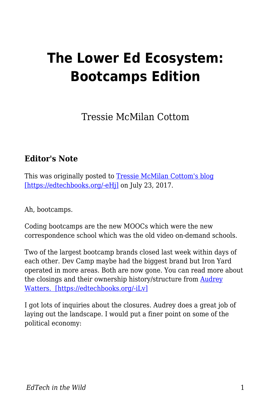## **The Lower Ed Ecosystem: Bootcamps Edition**

Tressie McMilan Cottom

## **Editor's Note**

This was originally posted to [Tressie McMilan Cottom's blog](http://tressiemc.com/uncategorized/the-lower-ed-ecosystem-bootcamps-edition/) [\[https://edtechbooks.org/-eHj\]](http://tressiemc.com/uncategorized/the-lower-ed-ecosystem-bootcamps-edition/) on July 23, 2017.

Ah, bootcamps.

Coding bootcamps are the new MOOCs which were the new correspondence school which was the old video on-demand schools.

Two of the largest bootcamp brands closed last week within days of each other. Dev Camp maybe had the biggest brand but Iron Yard operated in more areas. Both are now gone. You can read more about the closings and their ownership history/structure from [Audrey](http://hackeducation.com/2017/07/22/bootcamp-bust) [Watters. \[https://edtechbooks.org/-iLv\]](http://hackeducation.com/2017/07/22/bootcamp-bust)

I got lots of inquiries about the closures. Audrey does a great job of laying out the landscape. I would put a finer point on some of the political economy: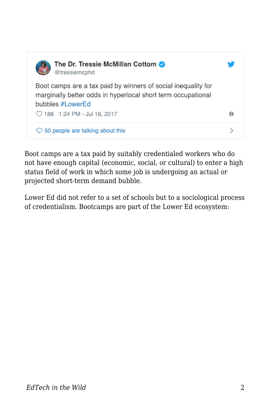

Boot camps are a tax paid by suitably credentialed workers who do not have enough capital (economic, social, or cultural) to enter a high status field of work in which some job is undergoing an actual or projected short-term demand bubble.

Lower Ed did not refer to a set of schools but to a sociological process of credentialism. Bootcamps are part of the Lower Ed ecosystem: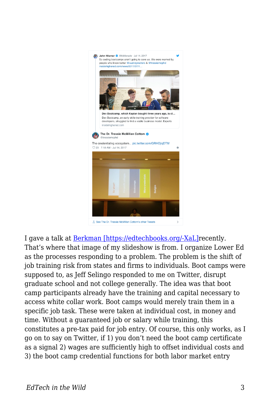

I gave a talk at [Berkman \[https://edtechbooks.org/-XaL\]](https://www.youtube.com/playlist?list=PLhIcwCeItnZf9jbTvF4jJDX5WiF1SOJZr)recently. That's where that image of my slideshow is from. I organize Lower Ed as the processes responding to a problem. The problem is the shift of job training risk from states and firms to individuals. Boot camps were supposed to, as Jeff Selingo responded to me on Twitter, disrupt graduate school and not college generally. The idea was that boot camp participants already have the training and capital necessary to access white collar work. Boot camps would merely train them in a specific job task. These were taken at individual cost, in money and time. Without a guaranteed job or salary while training, this constitutes a pre-tax paid for job entry. Of course, this only works, as I go on to say on Twitter, if 1) you don't need the boot camp certificate as a signal 2) wages are sufficiently high to offset individual costs and 3) the boot camp credential functions for both labor market entry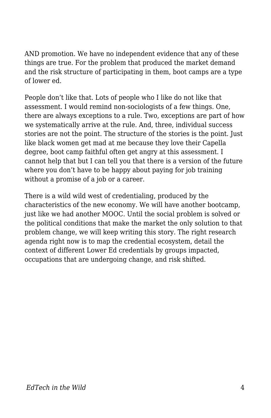AND promotion. We have no independent evidence that any of these things are true. For the problem that produced the market demand and the risk structure of participating in them, boot camps are a type of lower ed.

People don't like that. Lots of people who I like do not like that assessment. I would remind non-sociologists of a few things. One, there are always exceptions to a rule. Two, exceptions are part of how we systematically arrive at the rule. And, three, individual success stories are not the point. The structure of the stories is the point. Just like black women get mad at me because they love their Capella degree, boot camp faithful often get angry at this assessment. I cannot help that but I can tell you that there is a version of the future where you don't have to be happy about paying for job training without a promise of a job or a career.

There is a wild wild west of credentialing, produced by the characteristics of the new economy. We will have another bootcamp, just like we had another MOOC. Until the social problem is solved or the political conditions that make the market the only solution to that problem change, we will keep writing this story. The right research agenda right now is to map the credential ecosystem, detail the context of different Lower Ed credentials by groups impacted, occupations that are undergoing change, and risk shifted.